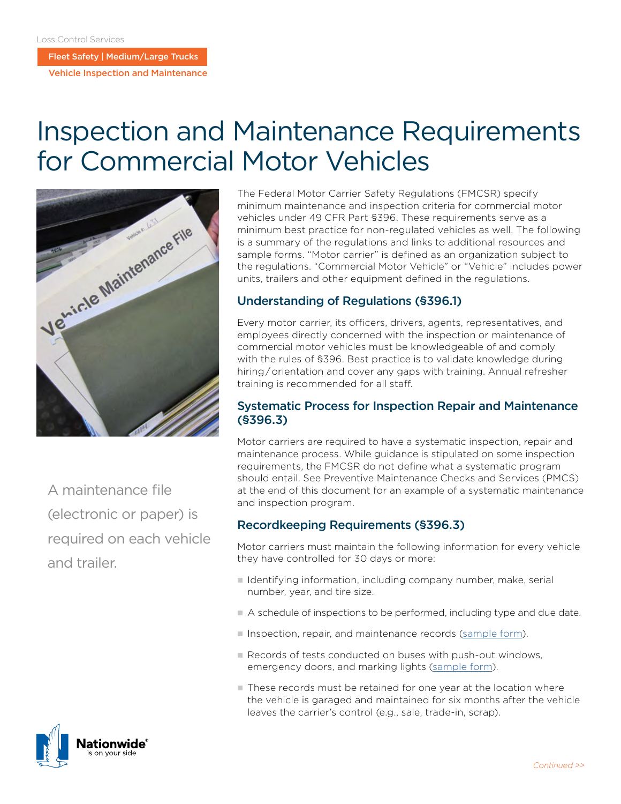Fleet Safety | Medium/Large Trucks

Vehicle Inspection and Maintenance

# Inspection and Maintenance Requirements for Commercial Motor Vehicles



A maintenance file (electronic or paper) is required on each vehicle and trailer.

The Federal Motor Carrier Safety Regulations (FMCSR) specify minimum maintenance and inspection criteria for commercial motor vehicles under 49 CFR Part §396. These requirements serve as a minimum best practice for non-regulated vehicles as well. The following is a summary of the regulations and links to additional resources and sample forms. "Motor carrier" is defined as an organization subject to the regulations. "Commercial Motor Vehicle" or "Vehicle" includes power units, trailers and other equipment defined in the regulations.

## Understanding of Regulations (§396.1)

Every motor carrier, its officers, drivers, agents, representatives, and employees directly concerned with the inspection or maintenance of commercial motor vehicles must be knowledgeable of and comply with the rules of §396. Best practice is to validate knowledge during hiring / orientation and cover any gaps with training. Annual refresher training is recommended for all staff.

### Systematic Process for Inspection Repair and Maintenance (§396.3)

Motor carriers are required to have a systematic inspection, repair and maintenance process. While guidance is stipulated on some inspection requirements, the FMCSR do not define what a systematic program should entail. See Preventive Maintenance Checks and Services (PMCS) at the end of this document for an example of a systematic maintenance and inspection program.

## Recordkeeping Requirements (§396.3)

Motor carriers must maintain the following information for every vehicle they have controlled for 30 days or more:

- n Identifying information, including company number, make, serial number, year, and tire size.
- n A schedule of inspections to be performed, including type and due date.
- **n** Inspection, repair, and maintenance records [\(sample form\)](https://csa.fmcsa.dot.gov/SafetyPlanner/documents/Forms/Vehicle%20Maintenance%20Record_508.pdf).
- Records of tests conducted on buses with push-out windows, emergency doors, and marking lights [\(sample form](https://csa.fmcsa.dot.gov/SafetyPlanner/documents/Forms/Bus%20Emergency%20Exit%20Inspections_508.pdf)).
- n These records must be retained for one year at the location where the vehicle is garaged and maintained for six months after the vehicle leaves the carrier's control (e.g., sale, trade-in, scrap).

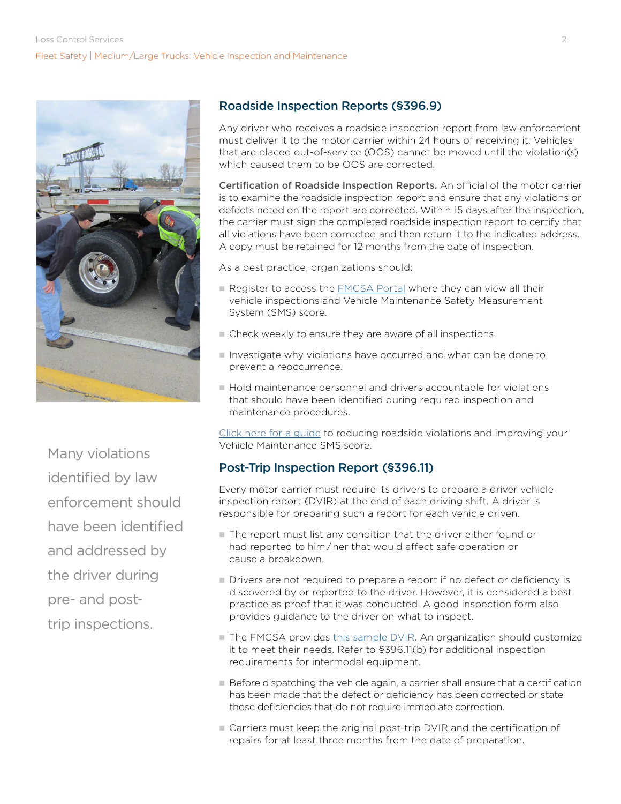#### Loss Control Services 2 Fleet Safety | Medium/Large Trucks: Vehicle Inspection and Maintenance



Many violations identified by law enforcement should have been identified and addressed by the driver during pre- and posttrip inspections.

# Roadside Inspection Reports (§396.9)

Any driver who receives a roadside inspection report from law enforcement must deliver it to the motor carrier within 24 hours of receiving it. Vehicles that are placed out-of-service (OOS) cannot be moved until the violation(s) which caused them to be OOS are corrected.

Certification of Roadside Inspection Reports. An official of the motor carrier is to examine the roadside inspection report and ensure that any violations or defects noted on the report are corrected. Within 15 days after the inspection, the carrier must sign the completed roadside inspection report to certify that all violations have been corrected and then return it to the indicated address. A copy must be retained for 12 months from the date of inspection.

As a best practice, organizations should:

- Register to access the [FMCSA Portal](https://portal.fmcsa.dot.gov/login) where they can view all their vehicle inspections and Vehicle Maintenance Safety Measurement System (SMS) score.
- $\blacksquare$  Check weekly to ensure they are aware of all inspections.
- n Investigate why violations have occurred and what can be done to prevent a reoccurrence.
- $\blacksquare$  Hold maintenance personnel and drivers accountable for violations that should have been identified during required inspection and maintenance procedures.

[Click here for a guide](https://www.mylosscontrolservices.com/documents/loss-control-library/mediumlarge-trucks-sms-basics--vehicle-maintenance) to reducing roadside violations and improving your Vehicle Maintenance SMS score.

## Post-Trip Inspection Report (§396.11)

Every motor carrier must require its drivers to prepare a driver vehicle inspection report (DVIR) at the end of each driving shift. A driver is responsible for preparing such a report for each vehicle driven.

- The report must list any condition that the driver either found or had reported to him / her that would affect safe operation or cause a breakdown.
- Drivers are not required to prepare a report if no defect or deficiency is discovered by or reported to the driver. However, it is considered a best practice as proof that it was conducted. A good inspection form also provides guidance to the driver on what to inspect.
- The FMCSA provides [this sample DVIR](https://csa.fmcsa.dot.gov/SafetyPlanner/documents/Forms/Driver). An organization should customize it to meet their needs. Refer to §396.11(b) for additional inspection requirements for intermodal equipment.
- n Before dispatching the vehicle again, a carrier shall ensure that a certification has been made that the defect or deficiency has been corrected or state those deficiencies that do not require immediate correction.
- n Carriers must keep the original post-trip DVIR and the certification of repairs for at least three months from the date of preparation.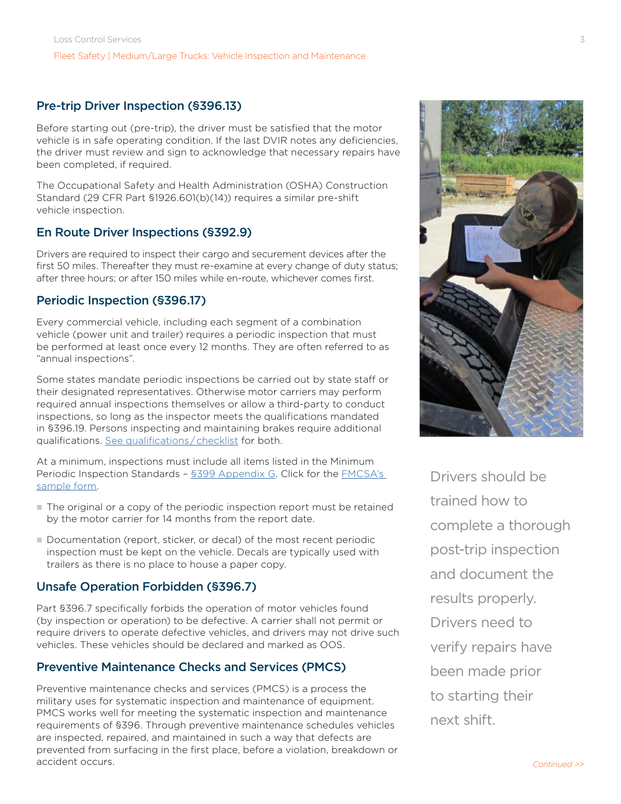## Pre-trip Driver Inspection (§396.13)

Before starting out (pre-trip), the driver must be satisfied that the motor vehicle is in safe operating condition. If the last DVIR notes any deficiencies, the driver must review and sign to acknowledge that necessary repairs have been completed, if required.

The Occupational Safety and Health Administration (OSHA) Construction Standard (29 CFR Part §1926.601(b)(14)) requires a similar pre-shift vehicle inspection.

## En Route Driver Inspections (§392.9)

Drivers are required to inspect their cargo and securement devices after the first 50 miles. Thereafter they must re-examine at every change of duty status; after three hours; or after 150 miles while en-route, whichever comes first.

### Periodic Inspection (§396.17)

Every commercial vehicle, including each segment of a combination vehicle (power unit and trailer) requires a periodic inspection that must be performed at least once every 12 months. They are often referred to as "annual inspections".

Some states mandate periodic inspections be carried out by state staff or their designated representatives. Otherwise motor carriers may perform required annual inspections themselves or allow a third-party to conduct inspections, so long as the inspector meets the qualifications mandated in §396.19. Persons inspecting and maintaining brakes require additional qualifications. See qualifications/checklist for both.

At a minimum, inspections must include all items listed in the Minimum Periodic Inspection Standards - [§399 Appendix G.](https://www.ecfr.gov/cgi-bin/text-idx?SID=f7d8be22b2b9b5347e6a8c06ad9bfa11&mc=true&node=pt49.5.399&rgn=div5#ap49.5.399_1211.g) Click for the **FMCSA's** [sample form](https://csa.fmcsa.dot.gov/SafetyPlanner/documents/Forms/Annual%20Vehicle%20Inspection%20Report_508.pdf).

- $\blacksquare$  The original or a copy of the periodic inspection report must be retained by the motor carrier for 14 months from the report date.
- n Documentation (report, sticker, or decal) of the most recent periodic inspection must be kept on the vehicle. Decals are typically used with trailers as there is no place to house a paper copy.

## Unsafe Operation Forbidden (§396.7)

Part §396.7 specifically forbids the operation of motor vehicles found (by inspection or operation) to be defective. A carrier shall not permit or require drivers to operate defective vehicles, and drivers may not drive such vehicles. These vehicles should be declared and marked as OOS.

#### Preventive Maintenance Checks and Services (PMCS)

Preventive maintenance checks and services (PMCS) is a process the military uses for systematic inspection and maintenance of equipment. PMCS works well for meeting the systematic inspection and maintenance requirements of §396. Through preventive maintenance schedules vehicles are inspected, repaired, and maintained in such a way that defects are prevented from surfacing in the first place, before a violation, breakdown or accident occurs.



Drivers should be trained how to complete a thorough post-trip inspection and document the results properly. Drivers need to verify repairs have been made prior to starting their next shift.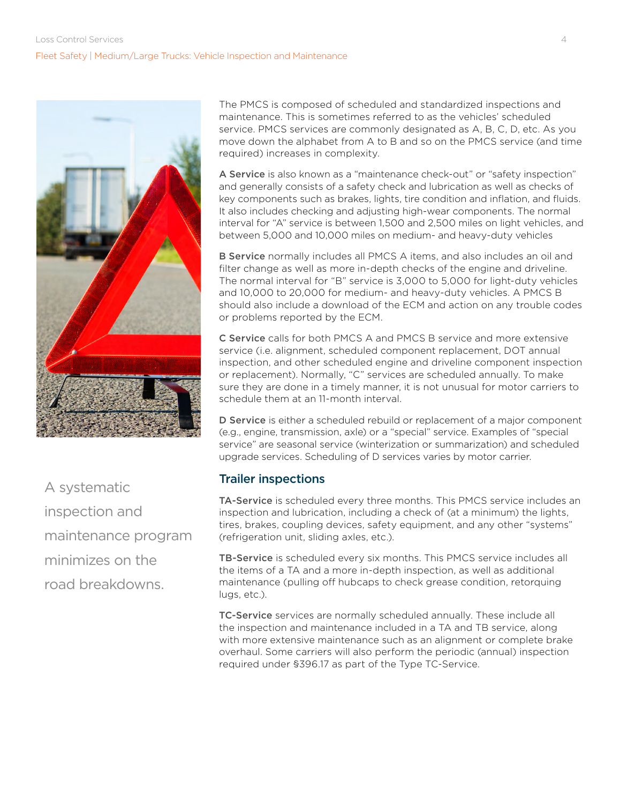#### Loss Control Services 4 Fleet Safety | Medium/Large Trucks: Vehicle Inspection and Maintenance



A systematic inspection and maintenance program minimizes on the road breakdowns.

The PMCS is composed of scheduled and standardized inspections and maintenance. This is sometimes referred to as the vehicles' scheduled service. PMCS services are commonly designated as A, B, C, D, etc. As you move down the alphabet from A to B and so on the PMCS service (and time required) increases in complexity.

A Service is also known as a "maintenance check-out" or "safety inspection" and generally consists of a safety check and lubrication as well as checks of key components such as brakes, lights, tire condition and inflation, and fluids. It also includes checking and adjusting high-wear components. The normal interval for "A" service is between 1,500 and 2,500 miles on light vehicles, and between 5,000 and 10,000 miles on medium- and heavy-duty vehicles

B Service normally includes all PMCS A items, and also includes an oil and filter change as well as more in-depth checks of the engine and driveline. The normal interval for "B" service is 3,000 to 5,000 for light-duty vehicles and 10,000 to 20,000 for medium- and heavy-duty vehicles. A PMCS B should also include a download of the ECM and action on any trouble codes or problems reported by the ECM.

C Service calls for both PMCS A and PMCS B service and more extensive service (i.e. alignment, scheduled component replacement, DOT annual inspection, and other scheduled engine and driveline component inspection or replacement). Normally, "C" services are scheduled annually. To make sure they are done in a timely manner, it is not unusual for motor carriers to schedule them at an 11-month interval.

D Service is either a scheduled rebuild or replacement of a major component (e.g., engine, transmission, axle) or a "special" service. Examples of "special service" are seasonal service (winterization or summarization) and scheduled upgrade services. Scheduling of D services varies by motor carrier.

## Trailer inspections

TA-Service is scheduled every three months. This PMCS service includes an inspection and lubrication, including a check of (at a minimum) the lights, tires, brakes, coupling devices, safety equipment, and any other "systems" (refrigeration unit, sliding axles, etc.).

TB-Service is scheduled every six months. This PMCS service includes all the items of a TA and a more in-depth inspection, as well as additional maintenance (pulling off hubcaps to check grease condition, retorquing lugs, etc.).

TC-Service services are normally scheduled annually. These include all the inspection and maintenance included in a TA and TB service, along with more extensive maintenance such as an alignment or complete brake overhaul. Some carriers will also perform the periodic (annual) inspection required under §396.17 as part of the Type TC-Service.